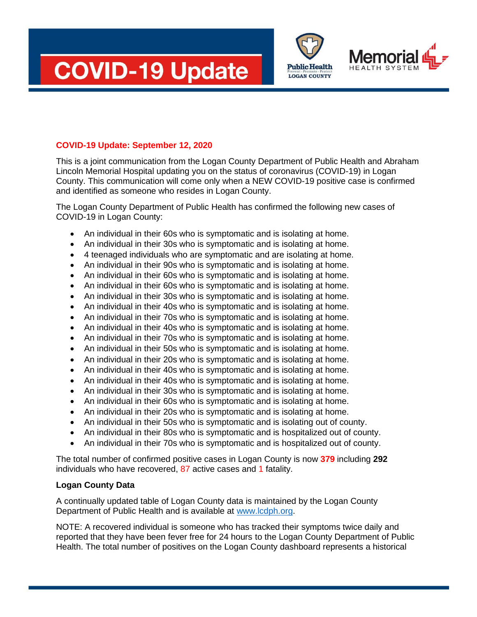





# **COVID-19 Update: September 12, 2020**

This is a joint communication from the Logan County Department of Public Health and Abraham Lincoln Memorial Hospital updating you on the status of coronavirus (COVID-19) in Logan County. This communication will come only when a NEW COVID-19 positive case is confirmed and identified as someone who resides in Logan County.

The Logan County Department of Public Health has confirmed the following new cases of COVID-19 in Logan County:

- An individual in their 60s who is symptomatic and is isolating at home.
- An individual in their 30s who is symptomatic and is isolating at home.
- 4 teenaged individuals who are symptomatic and are isolating at home.
- An individual in their 90s who is symptomatic and is isolating at home.
- An individual in their 60s who is symptomatic and is isolating at home.
- An individual in their 60s who is symptomatic and is isolating at home.
- An individual in their 30s who is symptomatic and is isolating at home.
- An individual in their 40s who is symptomatic and is isolating at home.
- An individual in their 70s who is symptomatic and is isolating at home.
- An individual in their 40s who is symptomatic and is isolating at home.
- An individual in their 70s who is symptomatic and is isolating at home.
- An individual in their 50s who is symptomatic and is isolating at home.
- An individual in their 20s who is symptomatic and is isolating at home.
- An individual in their 40s who is symptomatic and is isolating at home.
- An individual in their 40s who is symptomatic and is isolating at home.
- An individual in their 30s who is symptomatic and is isolating at home.
- An individual in their 60s who is symptomatic and is isolating at home.
- An individual in their 20s who is symptomatic and is isolating at home.
- An individual in their 50s who is symptomatic and is isolating out of county.
- An individual in their 80s who is symptomatic and is hospitalized out of county.
- An individual in their 70s who is symptomatic and is hospitalized out of county.

The total number of confirmed positive cases in Logan County is now **379** including **292** individuals who have recovered, 87 active cases and 1 fatality.

## **Logan County Data**

A continually updated table of Logan County data is maintained by the Logan County Department of Public Health and is available at [www.lcdph.org.](http://www.lcdph.org/)

NOTE: A recovered individual is someone who has tracked their symptoms twice daily and reported that they have been fever free for 24 hours to the Logan County Department of Public Health. The total number of positives on the Logan County dashboard represents a historical